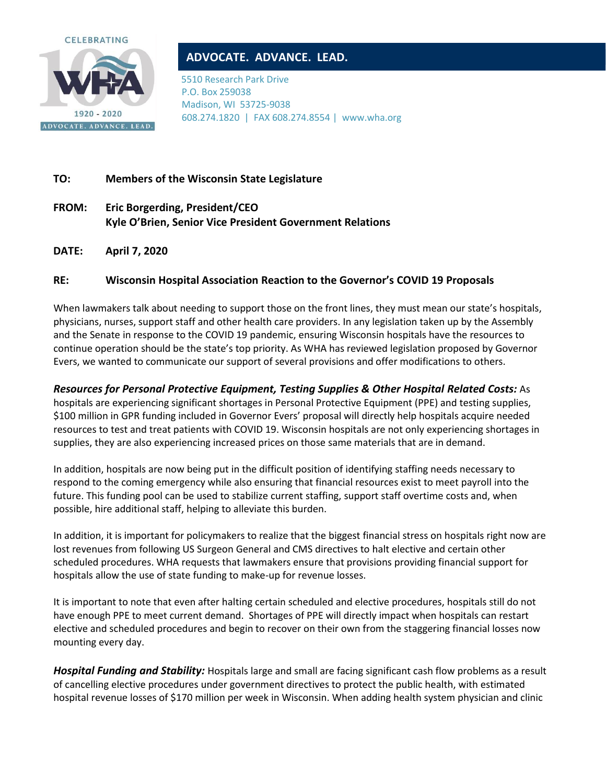

## **ADVOCATE. ADVANCE. LEAD.**

5510 Research Park Drive P.O. Box 259038 Madison, WI 53725-9038 608.274.1820 | FAX 608.274.8554 | www.wha.org

## **TO: Members of the Wisconsin State Legislature**

- **FROM: Eric Borgerding, President/CEO Kyle O'Brien, Senior Vice President Government Relations**
- **DATE: April 7, 2020**

## **RE: Wisconsin Hospital Association Reaction to the Governor's COVID 19 Proposals**

When lawmakers talk about needing to support those on the front lines, they must mean our state's hospitals, physicians, nurses, support staff and other health care providers. In any legislation taken up by the Assembly and the Senate in response to the COVID 19 pandemic, ensuring Wisconsin hospitals have the resources to continue operation should be the state's top priority. As WHA has reviewed legislation proposed by Governor Evers, we wanted to communicate our support of several provisions and offer modifications to others.

*Resources for Personal Protective Equipment, Testing Supplies & Other Hospital Related Costs:* As hospitals are experiencing significant shortages in Personal Protective Equipment (PPE) and testing supplies,

\$100 million in GPR funding included in Governor Evers' proposal will directly help hospitals acquire needed resources to test and treat patients with COVID 19. Wisconsin hospitals are not only experiencing shortages in supplies, they are also experiencing increased prices on those same materials that are in demand.

In addition, hospitals are now being put in the difficult position of identifying staffing needs necessary to respond to the coming emergency while also ensuring that financial resources exist to meet payroll into the future. This funding pool can be used to stabilize current staffing, support staff overtime costs and, when possible, hire additional staff, helping to alleviate this burden.

In addition, it is important for policymakers to realize that the biggest financial stress on hospitals right now are lost revenues from following US Surgeon General and CMS directives to halt elective and certain other scheduled procedures. WHA requests that lawmakers ensure that provisions providing financial support for hospitals allow the use of state funding to make-up for revenue losses.

It is important to note that even after halting certain scheduled and elective procedures, hospitals still do not have enough PPE to meet current demand. Shortages of PPE will directly impact when hospitals can restart elective and scheduled procedures and begin to recover on their own from the staggering financial losses now mounting every day.

*Hospital Funding and Stability:* Hospitals large and small are facing significant cash flow problems as a result of cancelling elective procedures under government directives to protect the public health, with estimated hospital revenue losses of \$170 million per week in Wisconsin. When adding health system physician and clinic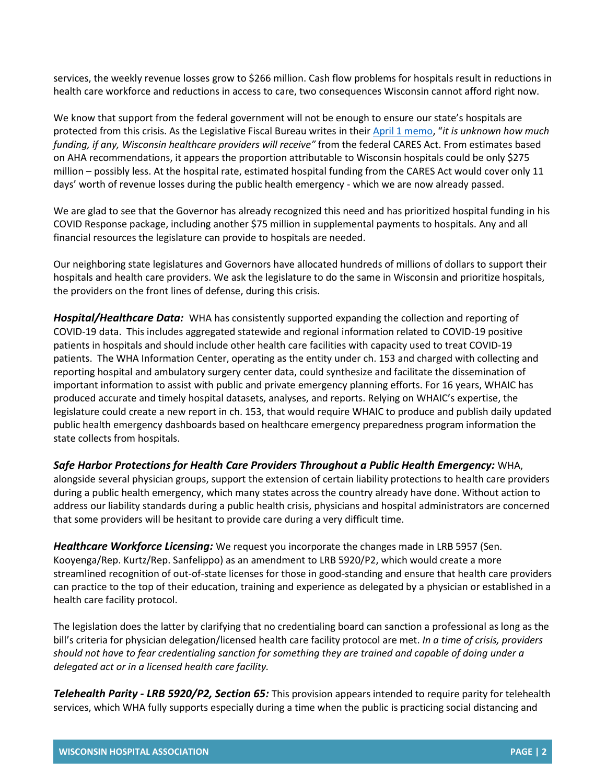services, the weekly revenue losses grow to \$266 million. Cash flow problems for hospitals result in reductions in health care workforce and reductions in access to care, two consequences Wisconsin cannot afford right now.

We know that support from the federal government will not be enough to ensure our state's hospitals are protected from this crisis. As the Legislative Fiscal Bureau writes in their [April 1 memo](http://docs.legis.wisconsin.gov/misc/lfb/misc/112_state_funding_under_coronavirus_aid_relief_and_economic_security_cares_act_4_1_20.pdf), "*it is unknown how much funding, if any, Wisconsin healthcare providers will receive"* from the federal CARES Act. From estimates based on AHA recommendations, it appears the proportion attributable to Wisconsin hospitals could be only \$275 million – possibly less. At the hospital rate, estimated hospital funding from the CARES Act would cover only 11 days' worth of revenue losses during the public health emergency - which we are now already passed.

We are glad to see that the Governor has already recognized this need and has prioritized hospital funding in his COVID Response package, including another \$75 million in supplemental payments to hospitals. Any and all financial resources the legislature can provide to hospitals are needed.

Our neighboring state legislatures and Governors have allocated hundreds of millions of dollars to support their hospitals and health care providers. We ask the legislature to do the same in Wisconsin and prioritize hospitals, the providers on the front lines of defense, during this crisis.

*Hospital/Healthcare Data:* WHA has consistently supported expanding the collection and reporting of COVID-19 data. This includes aggregated statewide and regional information related to COVID-19 positive patients in hospitals and should include other health care facilities with capacity used to treat COVID-19 patients. The WHA Information Center, operating as the entity under ch. 153 and charged with collecting and reporting hospital and ambulatory surgery center data, could synthesize and facilitate the dissemination of important information to assist with public and private emergency planning efforts. For 16 years, WHAIC has produced accurate and timely hospital datasets, analyses, and reports. Relying on WHAIC's expertise, the legislature could create a new report in ch. 153, that would require WHAIC to produce and publish daily updated public health emergency dashboards based on healthcare emergency preparedness program information the state collects from hospitals.

*Safe Harbor Protections for Health Care Providers Throughout a Public Health Emergency:* WHA, alongside several physician groups, support the extension of certain liability protections to health care providers during a public health emergency, which many states across the country already have done. Without action to address our liability standards during a public health crisis, physicians and hospital administrators are concerned that some providers will be hesitant to provide care during a very difficult time.

*Healthcare Workforce Licensing:* We request you incorporate the changes made in LRB 5957 (Sen. Kooyenga/Rep. Kurtz/Rep. Sanfelippo) as an amendment to LRB 5920/P2, which would create a more streamlined recognition of out-of-state licenses for those in good-standing and ensure that health care providers can practice to the top of their education, training and experience as delegated by a physician or established in a health care facility protocol.

The legislation does the latter by clarifying that no credentialing board can sanction a professional as long as the bill's criteria for physician delegation/licensed health care facility protocol are met. *In a time of crisis, providers should not have to fear credentialing sanction for something they are trained and capable of doing under a delegated act or in a licensed health care facility.* 

*Telehealth Parity - LRB 5920/P2, Section 65:* This provision appears intended to require parity for telehealth services, which WHA fully supports especially during a time when the public is practicing social distancing and